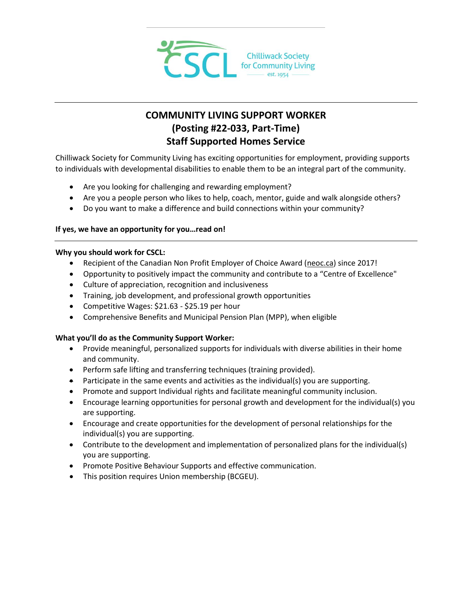

# **COMMUNITY LIVING SUPPORT WORKER (Posting #22-033, Part-Time) Staff Supported Homes Service**

Chilliwack Society for Community Living has exciting opportunities for employment, providing supports to individuals with developmental disabilities to enable them to be an integral part of the community.

- Are you looking for challenging and rewarding employment?
- Are you a people person who likes to help, coach, mentor, guide and walk alongside others?
- Do you want to make a difference and build connections within your community?

## **If yes, we have an opportunity for you…read on!**

### **Why you should work for CSCL:**

- Recipient of the Canadian Non Profit Employer of Choice Award [\(neoc.ca\)](http://neoc.ca/) since 2017!
- Opportunity to positively impact the community and contribute to a "Centre of Excellence"
- Culture of appreciation, recognition and inclusiveness
- Training, job development, and professional growth opportunities
- Competitive Wages: \$21.63 \$25.19 per hour
- Comprehensive Benefits and Municipal Pension Plan (MPP), when eligible

### **What you'll do as the Community Support Worker:**

- Provide meaningful, personalized supports for individuals with diverse abilities in their home and community.
- Perform safe lifting and transferring techniques (training provided).
- $\bullet$  Participate in the same events and activities as the individual(s) you are supporting.
- Promote and support Individual rights and facilitate meaningful community inclusion.
- Encourage learning opportunities for personal growth and development for the individual(s) you are supporting.
- Encourage and create opportunities for the development of personal relationships for the individual(s) you are supporting.
- Contribute to the development and implementation of personalized plans for the individual(s) you are supporting.
- **•** Promote Positive Behaviour Supports and effective communication.
- This position requires Union membership (BCGEU).